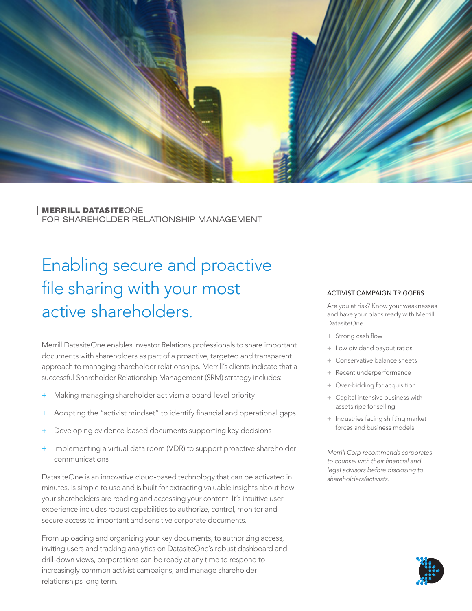

MERRILL DATASITEONE FOR SHAREHOLDER RELATIONSHIP MANAGEMENT

# Enabling secure and proactive file sharing with your most active shareholders.

Merrill DatasiteOne enables Investor Relations professionals to share important documents with shareholders as part of a proactive, targeted and transparent approach to managing shareholder relationships. Merrill's clients indicate that a successful Shareholder Relationship Management (SRM) strategy includes:

- Making managing shareholder activism a board-level priority
- Adopting the "activist mindset" to identify financial and operational gaps
- Developing evidence-based documents supporting key decisions
- Implementing a virtual data room (VDR) to support proactive shareholder communications

DatasiteOne is an innovative cloud-based technology that can be activated in minutes, is simple to use and is built for extracting valuable insights about how your shareholders are reading and accessing your content. It's intuitive user experience includes robust capabilities to authorize, control, monitor and secure access to important and sensitive corporate documents.

From uploading and organizing your key documents, to authorizing access, inviting users and tracking analytics on DatasiteOne's robust dashboard and drill-down views, corporations can be ready at any time to respond to increasingly common activist campaigns, and manage shareholder relationships long term.

#### ACTIVIST CAMPAIGN TRIGGERS

Are you at risk? Know your weaknesses and have your plans ready with Merrill DatasiteOne.

- + Strong cash flow
- + Low dividend payout ratios
- + Conservative balance sheets
- + Recent underperformance
- + Over-bidding for acquisition
- + Capital intensive business with assets ripe for selling
- + Industries facing shifting market forces and business models

*Merrill Corp recommends corporates to counsel with their financial and legal advisors before disclosing to shareholders/activists.*